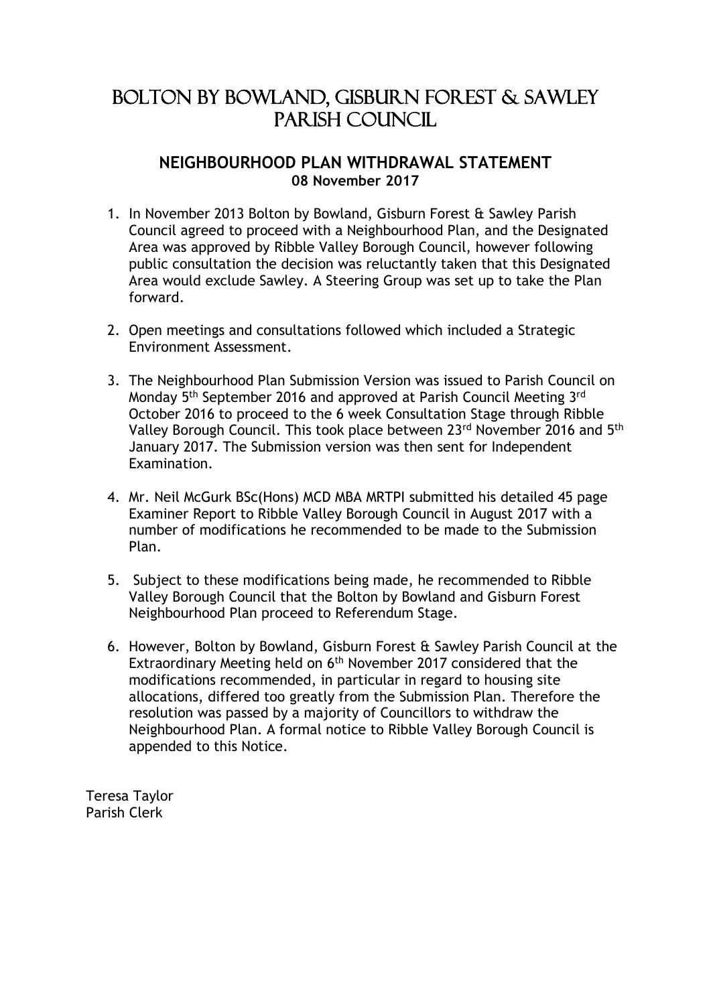## Bolton by Bowland, Gisburn Forest & Sawley PARISH COUNCIL

### **NEIGHBOURHOOD PLAN WITHDRAWAL STATEMENT 08 November 2017**

- 1. In November 2013 Bolton by Bowland, Gisburn Forest & Sawley Parish Council agreed to proceed with a Neighbourhood Plan, and the Designated Area was approved by Ribble Valley Borough Council, however following public consultation the decision was reluctantly taken that this Designated Area would exclude Sawley. A Steering Group was set up to take the Plan forward.
- 2. Open meetings and consultations followed which included a Strategic Environment Assessment.
- 3. The Neighbourhood Plan Submission Version was issued to Parish Council on Monday 5th September 2016 and approved at Parish Council Meeting 3rd October 2016 to proceed to the 6 week Consultation Stage through Ribble Valley Borough Council. This took place between 23rd November 2016 and 5th January 2017. The Submission version was then sent for Independent Examination.
- 4. Mr. Neil McGurk BSc(Hons) MCD MBA MRTPI submitted his detailed 45 page Examiner Report to Ribble Valley Borough Council in August 2017 with a number of modifications he recommended to be made to the Submission Plan.
- 5. Subject to these modifications being made, he recommended to Ribble Valley Borough Council that the Bolton by Bowland and Gisburn Forest Neighbourhood Plan proceed to Referendum Stage.
- 6. However, Bolton by Bowland, Gisburn Forest & Sawley Parish Council at the Extraordinary Meeting held on 6<sup>th</sup> November 2017 considered that the modifications recommended, in particular in regard to housing site allocations, differed too greatly from the Submission Plan. Therefore the resolution was passed by a majority of Councillors to withdraw the Neighbourhood Plan. A formal notice to Ribble Valley Borough Council is appended to this Notice.

Teresa Taylor Parish Clerk